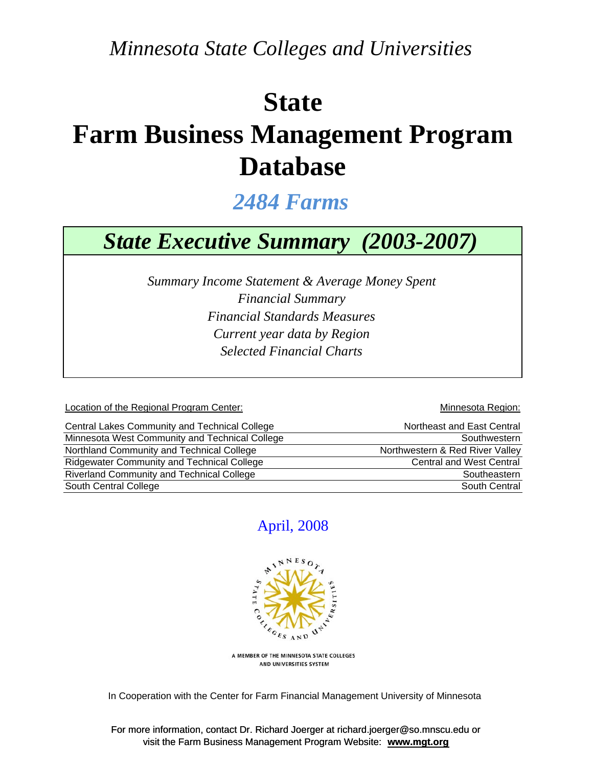*Minnesota State Colleges and Universities*

# **State**

## **Farm Business Management Program Database**

*2484 Farms*

## *State Executive Summary (2003-2007)*

*Current year data by Region Financial Standards Measures Selected Financial Charts Summary Income Statement & Average Money Spent Financial Summary*

Location of the Regional Program Center: Network and Security and Minnesota Region:

| Central Lakes Community and Technical College     | Northeast and East Central      |
|---------------------------------------------------|---------------------------------|
| Minnesota West Community and Technical College    | Southwestern                    |
| Northland Community and Technical College         | Northwestern & Red River Valley |
| <b>Ridgewater Community and Technical College</b> | <b>Central and West Central</b> |
| <b>Riverland Community and Technical College</b>  | Southeastern                    |
| South Central College                             | South Central                   |

### April, 2008



A MEMBER OF THE MINNESOTA STATE COLLEGES AND UNIVERSITIES SYSTEM

In Cooperation with the Center for Farm Financial Management University of Minnesota

For more information, contact Dr. Richard Joerger at richard.joerger@so.mnscu.edu or visit the Farm Business Management Program Website: **www.mgt.org**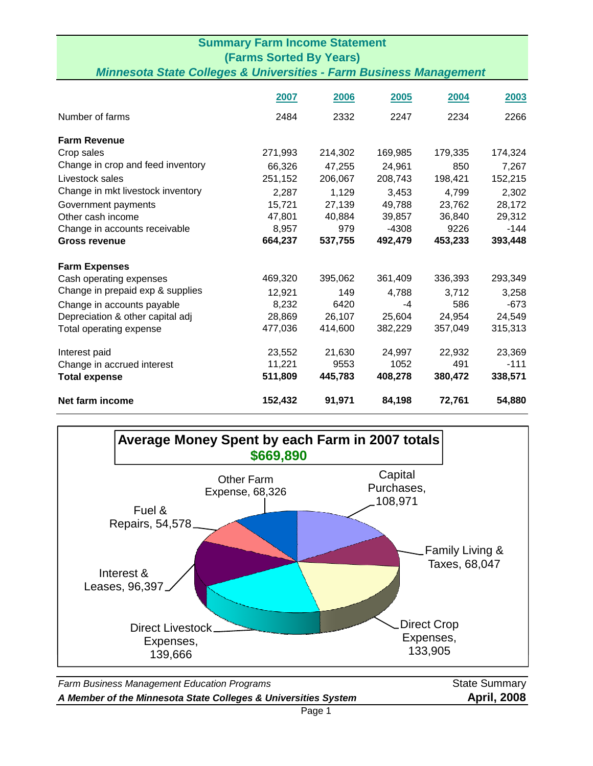| <b>Summary Farm Income Statement</b><br><b>(Farms Sorted By Years)</b><br><b>Minnesota State Colleges &amp; Universities - Farm Business Management</b> |         |         |         |         |         |
|---------------------------------------------------------------------------------------------------------------------------------------------------------|---------|---------|---------|---------|---------|
|                                                                                                                                                         |         |         |         |         |         |
| Number of farms                                                                                                                                         | 2484    | 2332    | 2247    | 2234    | 2266    |
| <b>Farm Revenue</b>                                                                                                                                     |         |         |         |         |         |
| Crop sales                                                                                                                                              | 271,993 | 214,302 | 169,985 | 179,335 | 174,324 |
| Change in crop and feed inventory                                                                                                                       | 66,326  | 47,255  | 24,961  | 850     | 7,267   |
| Livestock sales                                                                                                                                         | 251,152 | 206,067 | 208,743 | 198,421 | 152,215 |
| Change in mkt livestock inventory                                                                                                                       | 2,287   | 1,129   | 3,453   | 4,799   | 2,302   |
| Government payments                                                                                                                                     | 15,721  | 27,139  | 49,788  | 23,762  | 28,172  |
| Other cash income                                                                                                                                       | 47,801  | 40,884  | 39,857  | 36,840  | 29,312  |
| Change in accounts receivable                                                                                                                           | 8,957   | 979     | $-4308$ | 9226    | $-144$  |
| <b>Gross revenue</b>                                                                                                                                    | 664,237 | 537,755 | 492,479 | 453,233 | 393,448 |
| <b>Farm Expenses</b>                                                                                                                                    |         |         |         |         |         |
| Cash operating expenses                                                                                                                                 | 469,320 | 395,062 | 361,409 | 336,393 | 293,349 |
| Change in prepaid exp & supplies                                                                                                                        | 12,921  | 149     | 4,788   | 3,712   | 3,258   |
| Change in accounts payable                                                                                                                              | 8,232   | 6420    | -4      | 586     | $-673$  |
| Depreciation & other capital adj                                                                                                                        | 28,869  | 26,107  | 25,604  | 24,954  | 24,549  |
| Total operating expense                                                                                                                                 | 477,036 | 414,600 | 382,229 | 357,049 | 315,313 |
| Interest paid                                                                                                                                           | 23,552  | 21,630  | 24,997  | 22,932  | 23,369  |
| Change in accrued interest                                                                                                                              | 11,221  | 9553    | 1052    | 491     | $-111$  |
| <b>Total expense</b>                                                                                                                                    | 511,809 | 445,783 | 408,278 | 380,472 | 338,571 |
| Net farm income                                                                                                                                         | 152,432 | 91,971  | 84,198  | 72,761  | 54,880  |



**Farm Business Management Education Programs State Summary** State Summary *A Member of the Minnesota State Colleges & Universities System* **April, 2008**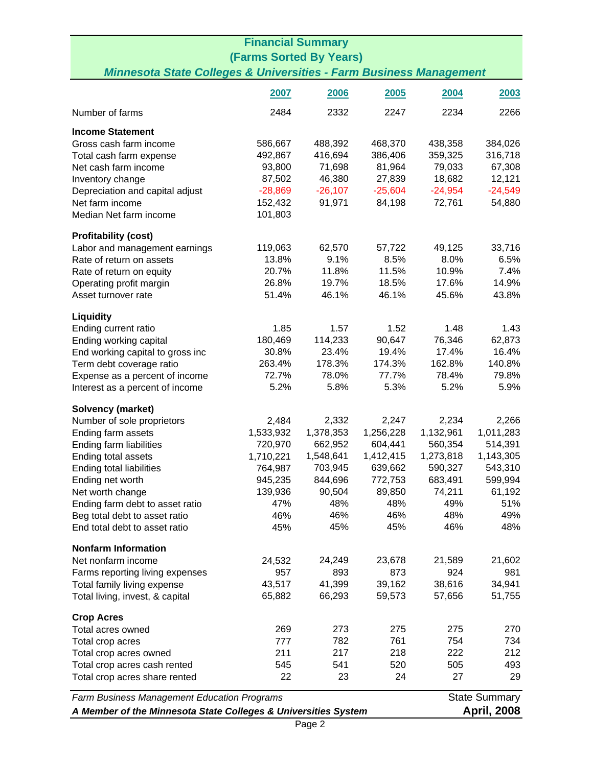|                                                                               | <b>Financial Summary</b> |           |           |           |                      |  |
|-------------------------------------------------------------------------------|--------------------------|-----------|-----------|-----------|----------------------|--|
| <b>(Farms Sorted By Years)</b>                                                |                          |           |           |           |                      |  |
| <b>Minnesota State Colleges &amp; Universities - Farm Business Management</b> |                          |           |           |           |                      |  |
|                                                                               | 2007                     | 2006      | 2005      | 2004      | 2003                 |  |
| Number of farms                                                               | 2484                     | 2332      | 2247      | 2234      | 2266                 |  |
| <b>Income Statement</b>                                                       |                          |           |           |           |                      |  |
| Gross cash farm income                                                        | 586,667                  | 488,392   | 468,370   | 438,358   | 384,026              |  |
| Total cash farm expense                                                       | 492,867                  | 416,694   | 386,406   | 359,325   | 316,718              |  |
| Net cash farm income                                                          | 93,800                   | 71,698    | 81,964    | 79,033    | 67,308               |  |
| Inventory change                                                              | 87,502                   | 46,380    | 27,839    | 18,682    | 12,121               |  |
| Depreciation and capital adjust                                               | $-28,869$                | $-26,107$ | $-25,604$ | $-24,954$ | $-24,549$            |  |
| Net farm income                                                               | 152,432                  | 91,971    | 84,198    | 72,761    | 54,880               |  |
| Median Net farm income                                                        | 101,803                  |           |           |           |                      |  |
| <b>Profitability (cost)</b>                                                   |                          |           |           |           |                      |  |
| Labor and management earnings                                                 | 119,063                  | 62,570    | 57,722    | 49,125    | 33,716               |  |
| Rate of return on assets                                                      | 13.8%                    | 9.1%      | 8.5%      | 8.0%      | 6.5%                 |  |
| Rate of return on equity                                                      | 20.7%                    | 11.8%     | 11.5%     | 10.9%     | 7.4%                 |  |
| Operating profit margin                                                       | 26.8%                    | 19.7%     | 18.5%     | 17.6%     | 14.9%                |  |
| Asset turnover rate                                                           | 51.4%                    | 46.1%     | 46.1%     | 45.6%     | 43.8%                |  |
| <b>Liquidity</b>                                                              |                          |           |           |           |                      |  |
| Ending current ratio                                                          | 1.85                     | 1.57      | 1.52      | 1.48      | 1.43                 |  |
| Ending working capital                                                        | 180,469                  | 114,233   | 90,647    | 76,346    | 62,873               |  |
| End working capital to gross inc                                              | 30.8%                    | 23.4%     | 19.4%     | 17.4%     | 16.4%                |  |
| Term debt coverage ratio                                                      | 263.4%                   | 178.3%    | 174.3%    | 162.8%    | 140.8%               |  |
| Expense as a percent of income                                                | 72.7%                    | 78.0%     | 77.7%     | 78.4%     | 79.8%                |  |
| Interest as a percent of income                                               | 5.2%                     | 5.8%      | 5.3%      | 5.2%      | 5.9%                 |  |
| <b>Solvency (market)</b>                                                      |                          |           |           |           |                      |  |
| Number of sole proprietors                                                    | 2,484                    | 2,332     | 2,247     | 2,234     | 2,266                |  |
| Ending farm assets                                                            | 1,533,932                | 1,378,353 | 1,256,228 | 1,132,961 | 1,011,283            |  |
| Ending farm liabilities                                                       | 720,970                  | 662,952   | 604,441   | 560,354   | 514,391              |  |
| Ending total assets                                                           | 1,710,221                | 1,548,641 | 1,412,415 | 1,273,818 | 1,143,305            |  |
| Ending total liabilities                                                      | 764,987                  | 703,945   | 639,662   | 590,327   | 543,310              |  |
| Ending net worth                                                              | 945,235                  | 844,696   | 772,753   | 683,491   | 599,994              |  |
| Net worth change                                                              | 139,936                  | 90,504    | 89,850    | 74,211    | 61,192               |  |
| Ending farm debt to asset ratio                                               | 47%                      | 48%       | 48%       | 49%       | 51%                  |  |
| Beg total debt to asset ratio                                                 | 46%                      | 46%       | 46%       | 48%       | 49%                  |  |
| End total debt to asset ratio                                                 | 45%                      | 45%       | 45%       | 46%       | 48%                  |  |
| <b>Nonfarm Information</b>                                                    |                          |           |           |           |                      |  |
| Net nonfarm income                                                            | 24,532                   | 24,249    | 23,678    | 21,589    | 21,602               |  |
| Farms reporting living expenses                                               | 957                      | 893       | 873       | 924       | 981                  |  |
| Total family living expense                                                   | 43,517                   | 41,399    | 39,162    | 38,616    | 34,941               |  |
| Total living, invest, & capital                                               | 65,882                   | 66,293    | 59,573    | 57,656    | 51,755               |  |
| <b>Crop Acres</b>                                                             |                          |           |           |           |                      |  |
| Total acres owned                                                             | 269                      | 273       | 275       | 275       | 270                  |  |
| Total crop acres                                                              | 777                      | 782       | 761       | 754       | 734                  |  |
| Total crop acres owned                                                        | 211                      | 217       | 218       | 222       | 212                  |  |
| Total crop acres cash rented                                                  | 545                      | 541       | 520       | 505       | 493                  |  |
| Total crop acres share rented                                                 | 22                       | 23        | 24        | 27        | 29                   |  |
| Farm Business Management Education Programs                                   |                          |           |           |           | <b>State Summary</b> |  |
| A Member of the Minnesota State Colleges & Universities System                |                          |           |           |           | <b>April, 2008</b>   |  |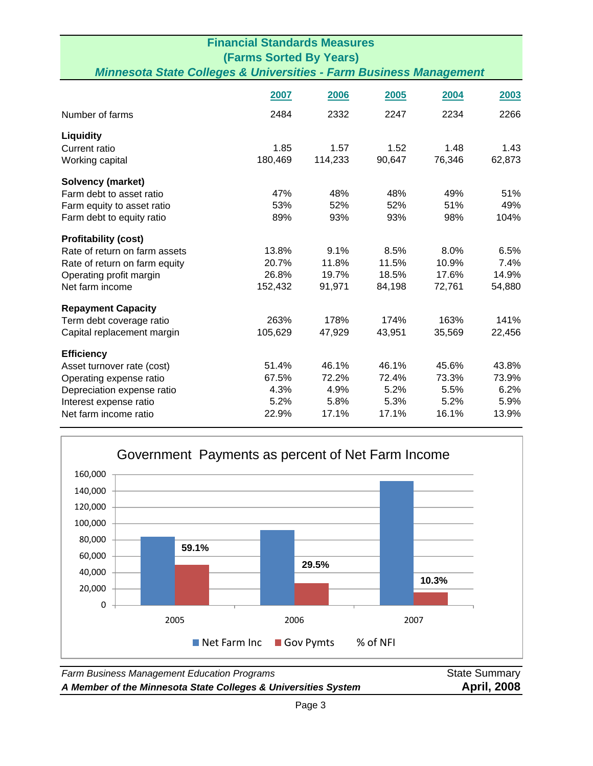| <b>Financial Standards Measures</b><br><b>(Farms Sorted By Years)</b><br><b>Minnesota State Colleges &amp; Universities - Farm Business Management</b>      |                                         |                                         |                                         |                                         |                                         |
|-------------------------------------------------------------------------------------------------------------------------------------------------------------|-----------------------------------------|-----------------------------------------|-----------------------------------------|-----------------------------------------|-----------------------------------------|
|                                                                                                                                                             | 2007                                    | 2006                                    | 2005                                    | 2004                                    | 2003                                    |
| Number of farms                                                                                                                                             | 2484                                    | 2332                                    | 2247                                    | 2234                                    | 2266                                    |
| <b>Liquidity</b><br>Current ratio<br>Working capital                                                                                                        | 1.85<br>180,469                         | 1.57<br>114,233                         | 1.52<br>90,647                          | 1.48<br>76,346                          | 1.43<br>62,873                          |
| <b>Solvency (market)</b><br>Farm debt to asset ratio<br>Farm equity to asset ratio<br>Farm debt to equity ratio                                             | 47%<br>53%<br>89%                       | 48%<br>52%<br>93%                       | 48%<br>52%<br>93%                       | 49%<br>51%<br>98%                       | 51%<br>49%<br>104%                      |
| <b>Profitability (cost)</b><br>Rate of return on farm assets<br>Rate of return on farm equity<br>Operating profit margin<br>Net farm income                 | 13.8%<br>20.7%<br>26.8%<br>152,432      | 9.1%<br>11.8%<br>19.7%<br>91,971        | 8.5%<br>11.5%<br>18.5%<br>84,198        | 8.0%<br>10.9%<br>17.6%<br>72,761        | 6.5%<br>7.4%<br>14.9%<br>54,880         |
| <b>Repayment Capacity</b><br>Term debt coverage ratio<br>Capital replacement margin                                                                         | 263%<br>105,629                         | 178%<br>47,929                          | 174%<br>43,951                          | 163%<br>35,569                          | 141%<br>22,456                          |
| <b>Efficiency</b><br>Asset turnover rate (cost)<br>Operating expense ratio<br>Depreciation expense ratio<br>Interest expense ratio<br>Net farm income ratio | 51.4%<br>67.5%<br>4.3%<br>5.2%<br>22.9% | 46.1%<br>72.2%<br>4.9%<br>5.8%<br>17.1% | 46.1%<br>72.4%<br>5.2%<br>5.3%<br>17.1% | 45.6%<br>73.3%<br>5.5%<br>5.2%<br>16.1% | 43.8%<br>73.9%<br>6.2%<br>5.9%<br>13.9% |



**Farm Business Management Education Programs State Summary** State Summary *A Member of the Minnesota State Colleges & Universities System* **April, 2008**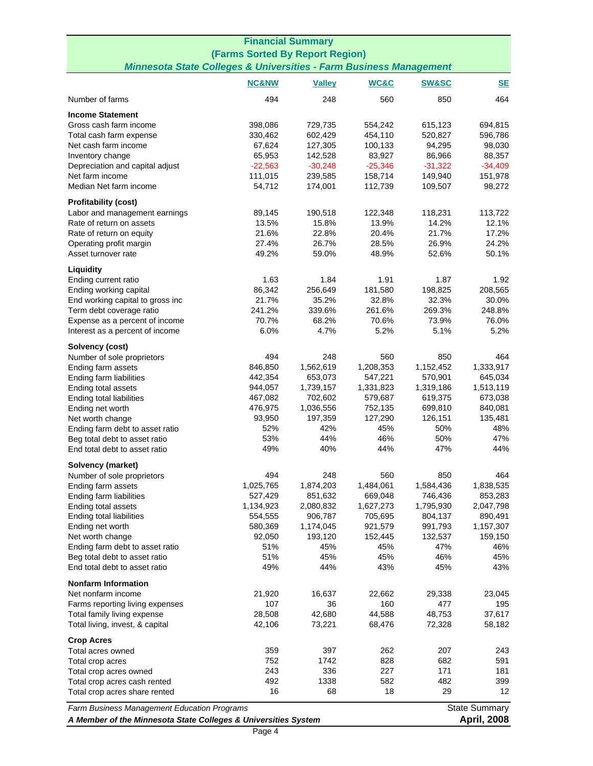| <b>Financial Summary</b>                                                                                      |                                                                    |                      |                      |                      |                                            |  |
|---------------------------------------------------------------------------------------------------------------|--------------------------------------------------------------------|----------------------|----------------------|----------------------|--------------------------------------------|--|
| (Farms Sorted By Report Region)                                                                               |                                                                    |                      |                      |                      |                                            |  |
|                                                                                                               | Minnesota State Colleges & Universities - Farm Business Management |                      |                      |                      |                                            |  |
|                                                                                                               | <b>NC&amp;NW</b>                                                   | <b>Valley</b>        | WC&C                 | <b>SW&amp;SC</b>     | $SE$                                       |  |
| Number of farms                                                                                               | 494                                                                | 248                  | 560                  | 850                  | 464                                        |  |
| <b>Income Statement</b>                                                                                       |                                                                    |                      |                      |                      |                                            |  |
| Gross cash farm income                                                                                        | 398,086                                                            | 729,735              | 554,242              | 615,123              | 694,815                                    |  |
| Total cash farm expense                                                                                       | 330,462                                                            | 602,429              | 454,110              | 520,827              | 596,786                                    |  |
| Net cash farm income                                                                                          | 67,624                                                             | 127,305              | 100,133              | 94,295               | 98,030                                     |  |
| Inventory change                                                                                              | 65,953                                                             | 142,528              | 83,927               | 86,966               | 88,357                                     |  |
| Depreciation and capital adjust                                                                               | $-22,563$                                                          | $-30,248$            | $-25,346$            | $-31,322$            | $-34,409$                                  |  |
| Net farm income                                                                                               | 111,015                                                            | 239,585              | 158,714              | 149,940              | 151,978                                    |  |
| Median Net farm income                                                                                        | 54,712                                                             | 174,001              | 112,739              | 109,507              | 98,272                                     |  |
| <b>Profitability (cost)</b>                                                                                   |                                                                    |                      |                      |                      |                                            |  |
| Labor and management earnings                                                                                 | 89,145                                                             | 190,518              | 122,348              | 118,231              | 113,722                                    |  |
| Rate of return on assets                                                                                      | 13.5%                                                              | 15.8%                | 13.9%                | 14.2%                | 12.1%                                      |  |
| Rate of return on equity                                                                                      | 21.6%                                                              | 22.8%                | 20.4%                | 21.7%                | 17.2%                                      |  |
| Operating profit margin<br>Asset turnover rate                                                                | 27.4%<br>49.2%                                                     | 26.7%                | 28.5%<br>48.9%       | 26.9%                | 24.2%<br>50.1%                             |  |
|                                                                                                               |                                                                    | 59.0%                |                      | 52.6%                |                                            |  |
| Liquidity                                                                                                     |                                                                    |                      |                      |                      |                                            |  |
| Ending current ratio                                                                                          | 1.63                                                               | 1.84                 | 1.91                 | 1.87                 | 1.92                                       |  |
| Ending working capital                                                                                        | 86,342                                                             | 256,649              | 181,580              | 198,825              | 208,565                                    |  |
| End working capital to gross inc                                                                              | 21.7%                                                              | 35.2%                | 32.8%                | 32.3%                | 30.0%                                      |  |
| Term debt coverage ratio                                                                                      | 241.2%                                                             | 339.6%               | 261.6%               | 269.3%               | 248.8%                                     |  |
| Expense as a percent of income                                                                                | 70.7%                                                              | 68.2%<br>4.7%        | 70.6%<br>5.2%        | 73.9%<br>5.1%        | 76.0%<br>5.2%                              |  |
| Interest as a percent of income                                                                               | 6.0%                                                               |                      |                      |                      |                                            |  |
| Solvency (cost)                                                                                               |                                                                    |                      |                      |                      |                                            |  |
| Number of sole proprietors                                                                                    | 494                                                                | 248                  | 560                  | 850                  | 464                                        |  |
| Ending farm assets                                                                                            | 846,850                                                            | 1,562,619            | 1,208,353            | 1,152,452            | 1,333,917                                  |  |
| Ending farm liabilities                                                                                       | 442,354<br>944,057                                                 | 653,073<br>1,739,157 | 547,221<br>1,331,823 | 570,901              | 645,034                                    |  |
| Ending total assets                                                                                           | 467,082                                                            | 702,602              | 579,687              | 1,319,186<br>619,375 | 1,513,119<br>673,038                       |  |
| Ending total liabilities                                                                                      |                                                                    |                      | 752,135              |                      |                                            |  |
| Ending net worth                                                                                              | 476,975<br>93,950                                                  | 1,036,556<br>197,359 |                      | 699,810              | 840,081                                    |  |
| Net worth change<br>Ending farm debt to asset ratio                                                           | 52%                                                                | 42%                  | 127,290<br>45%       | 126,151<br>50%       | 135,481<br>48%                             |  |
| Beg total debt to asset ratio                                                                                 | 53%                                                                | 44%                  | 46%                  | 50%                  | 47%                                        |  |
| End total debt to asset ratio                                                                                 | 49%                                                                | 40%                  | 44%                  | 47%                  | 44%                                        |  |
| Solvency (market)                                                                                             |                                                                    |                      |                      |                      |                                            |  |
| Number of sole proprietors                                                                                    | 494                                                                | 248                  | 560                  | 850                  | 464                                        |  |
| Ending farm assets                                                                                            | 1,025,765                                                          | 1,874,203            | 1,484,061            | 1,584,436            | 1,838,535                                  |  |
| Ending farm liabilities                                                                                       | 527,429                                                            | 851,632              | 669,048              | 746,436              | 853,283                                    |  |
| Ending total assets                                                                                           | 1,134,923                                                          | 2,080,832            | 1,627,273            | 1,795,930            | 2,047,798                                  |  |
| Ending total liabilities                                                                                      | 554,555                                                            | 906,787              | 705,695              | 804,137              | 890,491                                    |  |
| Ending net worth                                                                                              | 580,369                                                            | 1,174,045            | 921,579              | 991,793              | 1,157,307                                  |  |
| Net worth change                                                                                              | 92,050                                                             | 193,120              | 152,445              | 132,537              | 159,150                                    |  |
| Ending farm debt to asset ratio                                                                               | 51%                                                                | 45%                  | 45%                  | 47%                  | 46%                                        |  |
| Beg total debt to asset ratio                                                                                 | 51%                                                                | 45%                  | 45%                  | 46%                  | 45%                                        |  |
| End total debt to asset ratio                                                                                 | 49%                                                                | 44%                  | 43%                  | 45%                  | 43%                                        |  |
| <b>Nonfarm Information</b>                                                                                    |                                                                    |                      |                      |                      |                                            |  |
| Net nonfarm income                                                                                            | 21,920                                                             | 16,637               | 22,662               | 29,338               | 23,045                                     |  |
| Farms reporting living expenses                                                                               | 107                                                                | 36                   | 160                  | 477                  | 195                                        |  |
| Total family living expense                                                                                   | 28,508                                                             | 42,680               | 44,588               | 48,753               | 37,617                                     |  |
| Total living, invest, & capital                                                                               | 42,106                                                             | 73,221               | 68,476               | 72,328               | 58,182                                     |  |
| <b>Crop Acres</b>                                                                                             |                                                                    |                      |                      |                      |                                            |  |
| Total acres owned                                                                                             | 359                                                                | 397                  | 262                  | 207                  | 243                                        |  |
| Total crop acres                                                                                              | 752                                                                | 1742                 | 828                  | 682                  | 591                                        |  |
| Total crop acres owned                                                                                        | 243                                                                | 336                  | 227                  | 171                  | 181                                        |  |
| Total crop acres cash rented                                                                                  | 492                                                                | 1338                 | 582                  | 482                  | 399                                        |  |
| Total crop acres share rented                                                                                 | 16                                                                 | 68                   | 18                   | 29                   | 12                                         |  |
| Farm Business Management Education Programs<br>A Member of the Minnesota State Colleges & Universities System |                                                                    |                      |                      |                      | <b>State Summary</b><br><b>April, 2008</b> |  |
|                                                                                                               |                                                                    |                      |                      |                      |                                            |  |